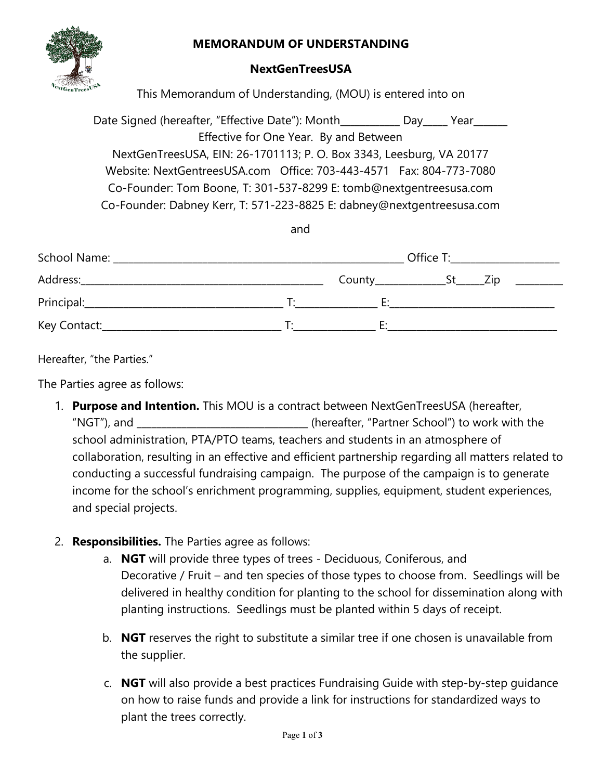## **MEMORANDUM OF UNDERSTANDING**



## **NextGenTreesUSA**

This Memorandum of Understanding, (MOU) is entered into on

Date Signed (hereafter, "Effective Date"): Month \_\_\_\_\_\_\_\_\_ Day \_\_\_\_ Year Effective for One Year. By and Between NextGenTreesUSA, EIN: 26-1701113; P. O. Box 3343, Leesburg, VA 20177 Website: NextGentreesUSA.com Office: 703-443-4571 Fax: 804-773-7080 Co-Founder: Tom Boone, T: 301-537-8299 E: tomb@nextgentreesusa.com Co-Founder: Dabney Kerr, T: 571-223-8825 E: dabney@nextgentreesusa.com

and

|                                                                                                                                                                                                                                |    | Office T:    |      |
|--------------------------------------------------------------------------------------------------------------------------------------------------------------------------------------------------------------------------------|----|--------------|------|
| Address: Andreas Address: Address: Address: Address: Address: Address: Address: Address: Address: Address: Address: Address: Address: Address: Address: Address: Address: Address: Address: Address: Address: Address: Address |    | $Country$ St | Zip. |
|                                                                                                                                                                                                                                | T. | Е٠           |      |
| Key Contact:                                                                                                                                                                                                                   |    |              |      |

Hereafter, "the Parties."

The Parties agree as follows:

- 1. **Purpose and Intention.** This MOU is a contract between NextGenTreesUSA (hereafter, "NGT"), and \_\_\_\_\_\_\_\_\_\_\_\_\_\_\_\_\_\_\_\_\_\_\_\_\_\_\_\_\_\_\_\_\_\_\_ (hereafter, "Partner School") to work with the school administration, PTA/PTO teams, teachers and students in an atmosphere of collaboration, resulting in an effective and efficient partnership regarding all matters related to conducting a successful fundraising campaign. The purpose of the campaign is to generate income for the school's enrichment programming, supplies, equipment, student experiences, and special projects.
- 2. **Responsibilities.** The Parties agree as follows:
	- a. **NGT** will provide three types of trees Deciduous, Coniferous, and Decorative / Fruit – and ten species of those types to choose from. Seedlings will be delivered in healthy condition for planting to the school for dissemination along with planting instructions. Seedlings must be planted within 5 days of receipt.
	- b. **NGT** reserves the right to substitute a similar tree if one chosen is unavailable from the supplier.
	- c. **NGT** will also provide a best practices Fundraising Guide with step-by-step guidance on how to raise funds and provide a link for instructions for standardized ways to plant the trees correctly.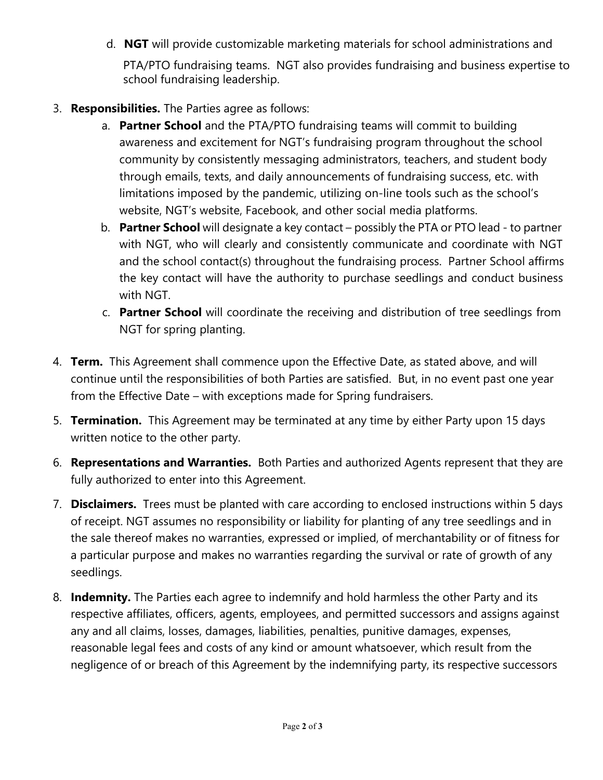- d. **NGT** will provide customizable marketing materials for school administrations and PTA/PTO fundraising teams. NGT also provides fundraising and business expertise to school fundraising leadership.
- 3. **Responsibilities.** The Parties agree as follows:
	- a. **Partner School** and the PTA/PTO fundraising teams will commit to building awareness and excitement for NGT's fundraising program throughout the school community by consistently messaging administrators, teachers, and student body through emails, texts, and daily announcements of fundraising success, etc. with limitations imposed by the pandemic, utilizing on-line tools such as the school's website, NGT's website, Facebook, and other social media platforms.
	- b. **Partner School** will designate a key contact possibly the PTA or PTO lead to partner with NGT, who will clearly and consistently communicate and coordinate with NGT and the school contact(s) throughout the fundraising process. Partner School affirms the key contact will have the authority to purchase seedlings and conduct business with NGT.
	- c. **Partner School** will coordinate the receiving and distribution of tree seedlings from NGT for spring planting.
- 4. **Term.** This Agreement shall commence upon the Effective Date, as stated above, and will continue until the responsibilities of both Parties are satisfied. But, in no event past one year from the Effective Date – with exceptions made for Spring fundraisers.
- 5. **Termination.** This Agreement may be terminated at any time by either Party upon 15 days written notice to the other party.
- 6. **Representations and Warranties.** Both Parties and authorized Agents represent that they are fully authorized to enter into this Agreement.
- 7. **Disclaimers.** Trees must be planted with care according to enclosed instructions within 5 days of receipt. NGT assumes no responsibility or liability for planting of any tree seedlings and in the sale thereof makes no warranties, expressed or implied, of merchantability or of fitness for a particular purpose and makes no warranties regarding the survival or rate of growth of any seedlings.
- 8. **Indemnity.** The Parties each agree to indemnify and hold harmless the other Party and its respective affiliates, officers, agents, employees, and permitted successors and assigns against any and all claims, losses, damages, liabilities, penalties, punitive damages, expenses, reasonable legal fees and costs of any kind or amount whatsoever, which result from the negligence of or breach of this Agreement by the indemnifying party, its respective successors